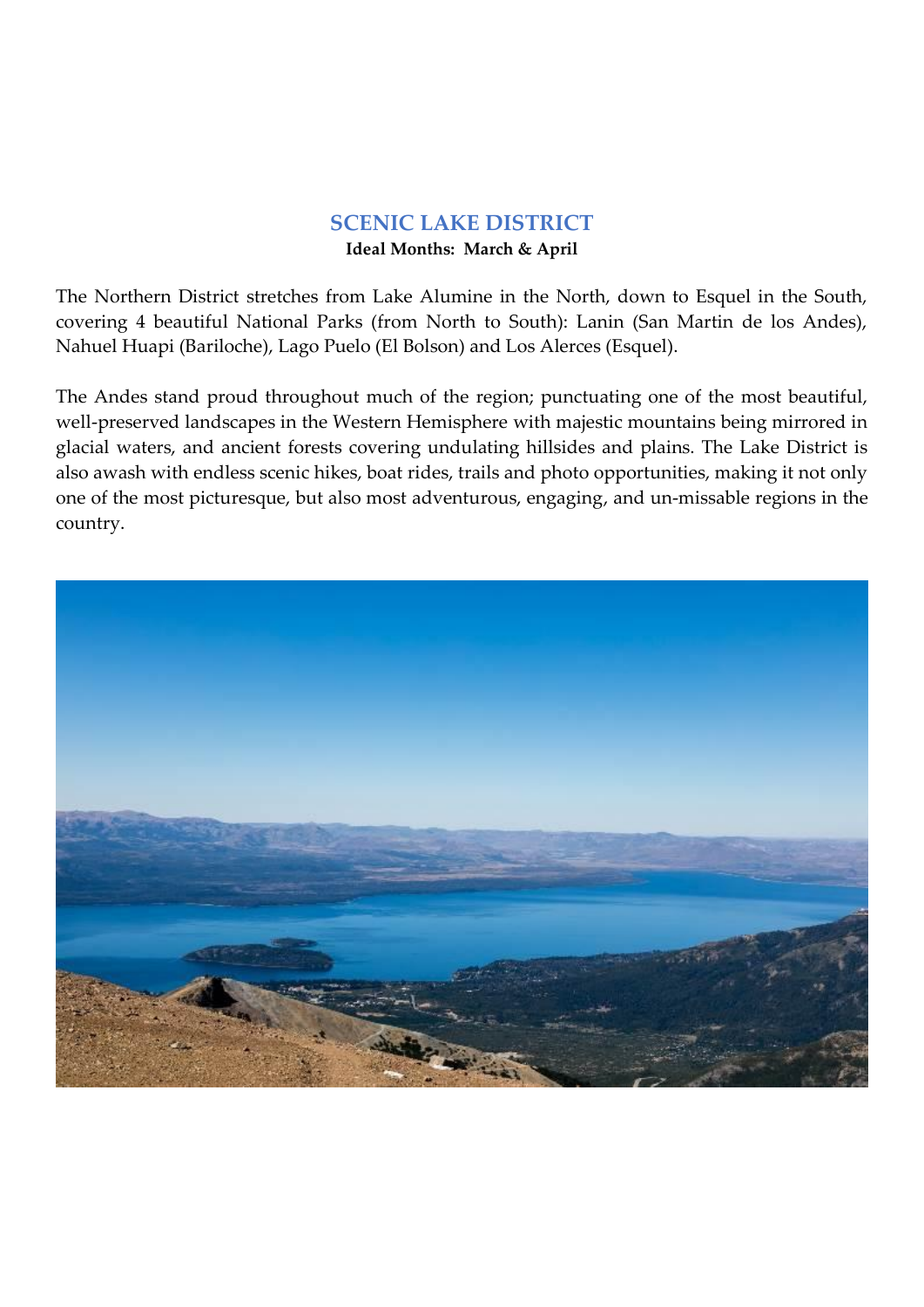## **SCENIC LAKE DISTRICT Ideal Months: March & April**

The Northern District stretches from Lake Alumine in the North, down to Esquel in the South, covering 4 beautiful National Parks (from North to South): Lanin (San Martin de los Andes), Nahuel Huapi (Bariloche), Lago Puelo (El Bolson) and Los Alerces (Esquel).

The Andes stand proud throughout much of the region; punctuating one of the most beautiful, well-preserved landscapes in the Western Hemisphere with majestic mountains being mirrored in glacial waters, and ancient forests covering undulating hillsides and plains. The Lake District is also awash with endless scenic hikes, boat rides, trails and photo opportunities, making it not only one of the most picturesque, but also most adventurous, engaging, and un-missable regions in the country.

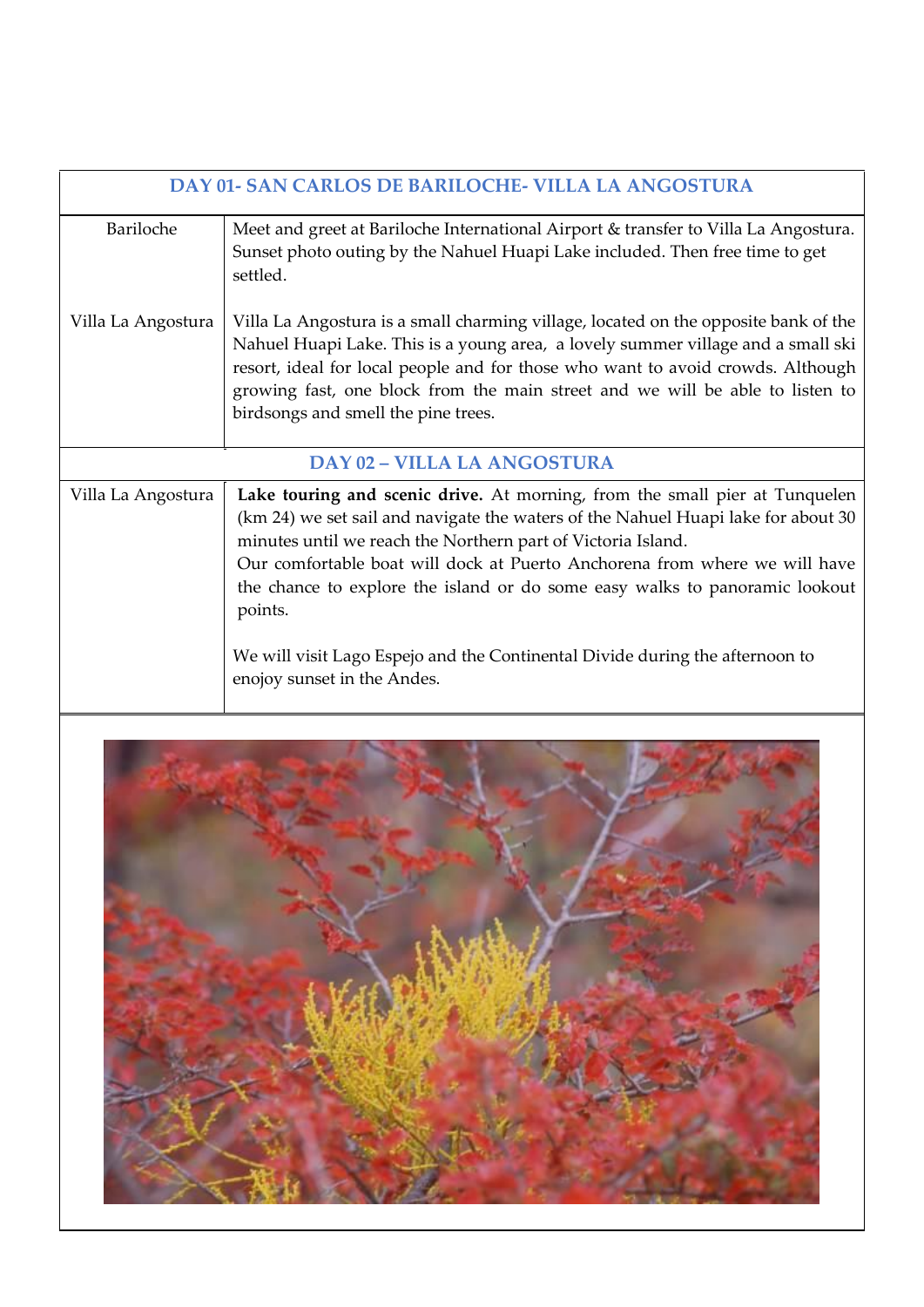| <b>DAY 01- SAN CARLOS DE BARILOCHE- VILLA LA ANGOSTURA</b> |                                                                                                                                                                                                                                                                                                                                                                                                                                                                                                                         |  |
|------------------------------------------------------------|-------------------------------------------------------------------------------------------------------------------------------------------------------------------------------------------------------------------------------------------------------------------------------------------------------------------------------------------------------------------------------------------------------------------------------------------------------------------------------------------------------------------------|--|
| Bariloche                                                  | Meet and greet at Bariloche International Airport & transfer to Villa La Angostura.<br>Sunset photo outing by the Nahuel Huapi Lake included. Then free time to get<br>settled.                                                                                                                                                                                                                                                                                                                                         |  |
| Villa La Angostura                                         | Villa La Angostura is a small charming village, located on the opposite bank of the<br>Nahuel Huapi Lake. This is a young area, a lovely summer village and a small ski<br>resort, ideal for local people and for those who want to avoid crowds. Although<br>growing fast, one block from the main street and we will be able to listen to<br>birdsongs and smell the pine trees.                                                                                                                                      |  |
| <b>DAY 02 - VILLA LA ANGOSTURA</b>                         |                                                                                                                                                                                                                                                                                                                                                                                                                                                                                                                         |  |
| Villa La Angostura                                         | Lake touring and scenic drive. At morning, from the small pier at Tunquelen<br>(km 24) we set sail and navigate the waters of the Nahuel Huapi lake for about 30<br>minutes until we reach the Northern part of Victoria Island.<br>Our comfortable boat will dock at Puerto Anchorena from where we will have<br>the chance to explore the island or do some easy walks to panoramic lookout<br>points.<br>We will visit Lago Espejo and the Continental Divide during the afternoon to<br>enojoy sunset in the Andes. |  |

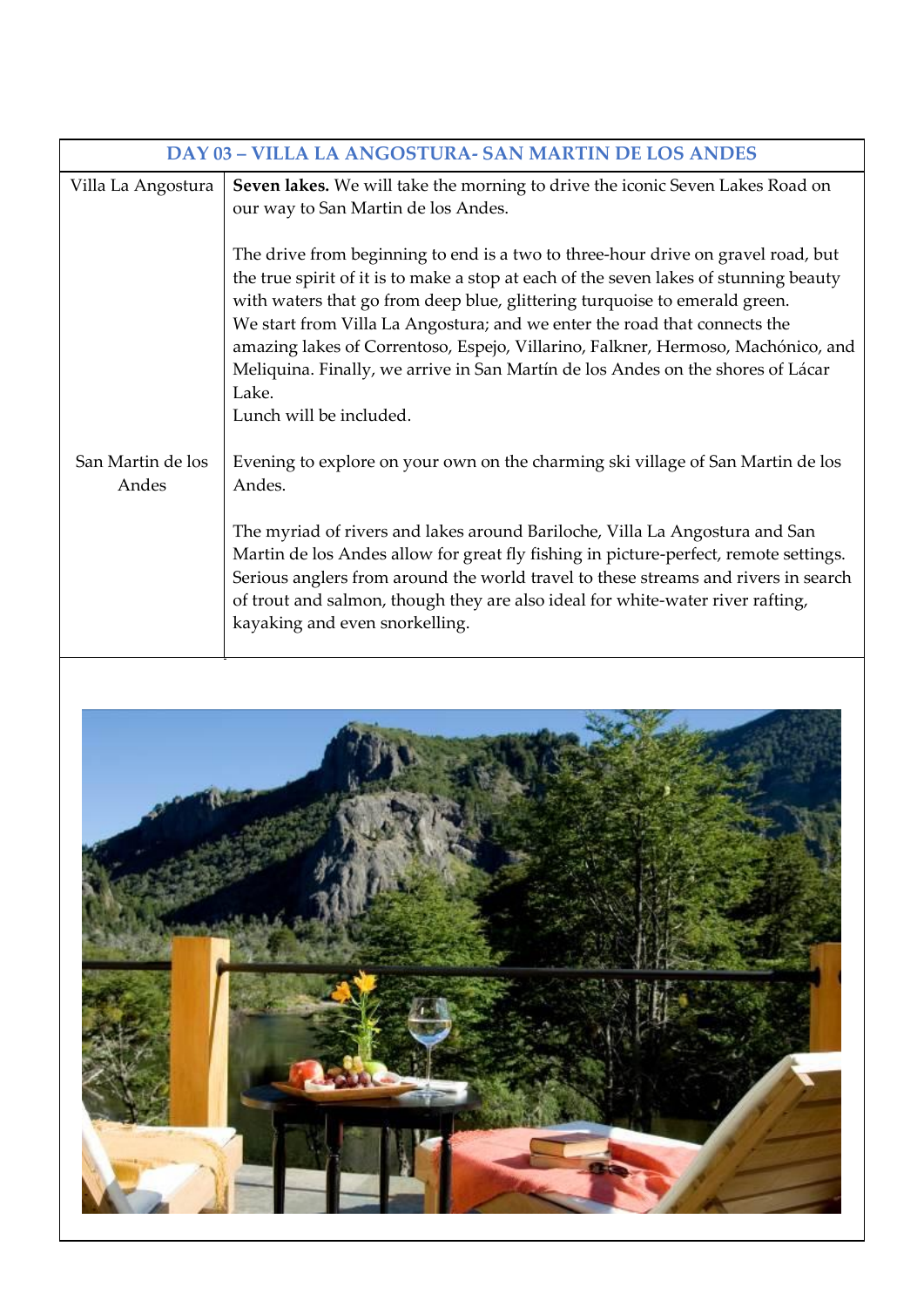| <b>DAY 03 - VILLA LA ANGOSTURA- SAN MARTIN DE LOS ANDES</b> |                                                                                                                                                                                                                                                                                                                                                                                                                                                                                                                                                 |  |
|-------------------------------------------------------------|-------------------------------------------------------------------------------------------------------------------------------------------------------------------------------------------------------------------------------------------------------------------------------------------------------------------------------------------------------------------------------------------------------------------------------------------------------------------------------------------------------------------------------------------------|--|
| Villa La Angostura                                          | Seven lakes. We will take the morning to drive the iconic Seven Lakes Road on<br>our way to San Martin de los Andes.                                                                                                                                                                                                                                                                                                                                                                                                                            |  |
|                                                             | The drive from beginning to end is a two to three-hour drive on gravel road, but<br>the true spirit of it is to make a stop at each of the seven lakes of stunning beauty<br>with waters that go from deep blue, glittering turquoise to emerald green.<br>We start from Villa La Angostura; and we enter the road that connects the<br>amazing lakes of Correntoso, Espejo, Villarino, Falkner, Hermoso, Machónico, and<br>Meliquina. Finally, we arrive in San Martín de los Andes on the shores of Lácar<br>Lake.<br>Lunch will be included. |  |
| San Martin de los<br>Andes                                  | Evening to explore on your own on the charming ski village of San Martin de los<br>Andes.<br>The myriad of rivers and lakes around Bariloche, Villa La Angostura and San<br>Martin de los Andes allow for great fly fishing in picture-perfect, remote settings.<br>Serious anglers from around the world travel to these streams and rivers in search<br>of trout and salmon, though they are also ideal for white-water river rafting,<br>kayaking and even snorkelling.                                                                      |  |

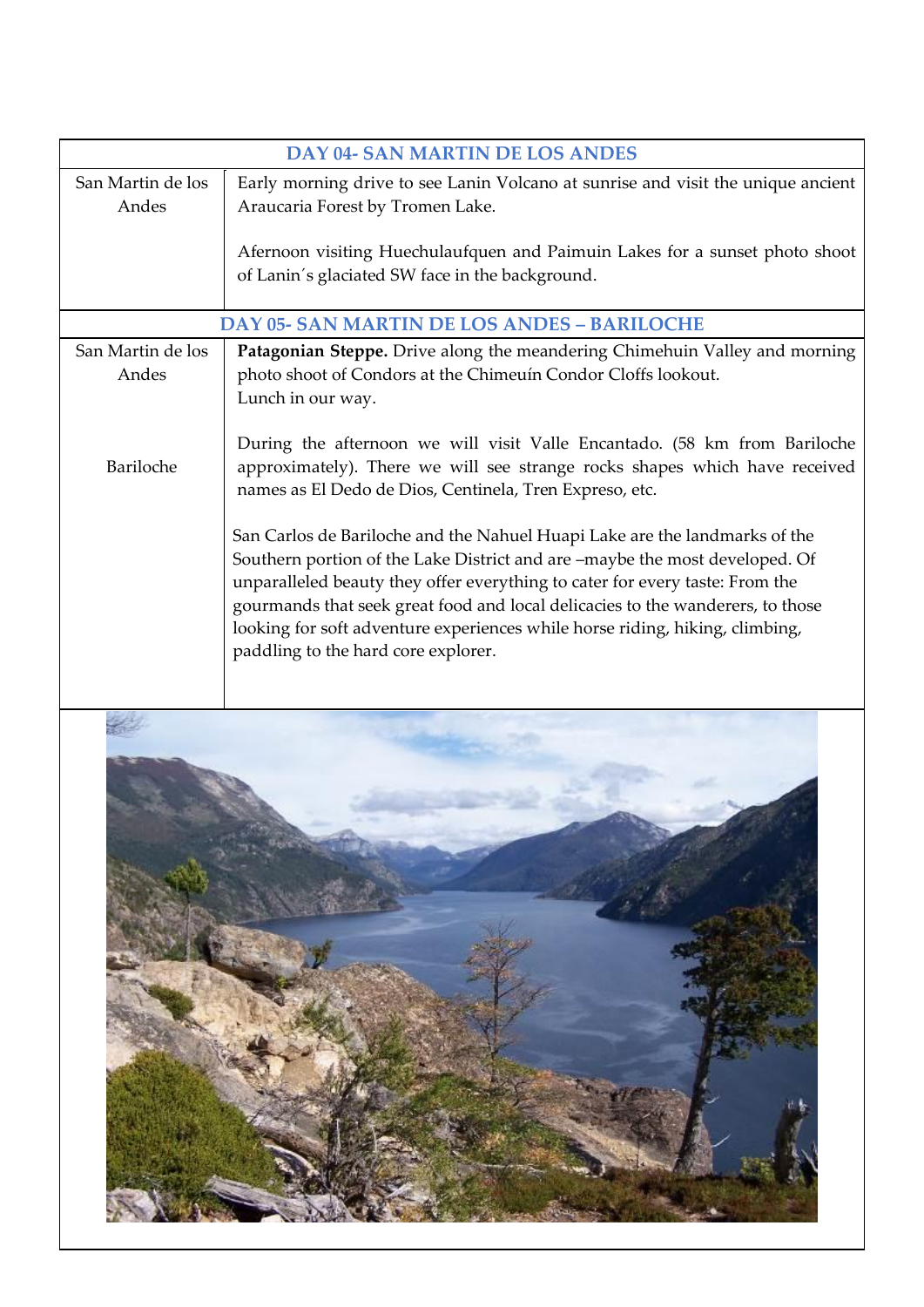| <b>DAY 04- SAN MARTIN DE LOS ANDES</b>             |                                                                                                                                                                                                                                                                                                                                                                                                                                                    |  |
|----------------------------------------------------|----------------------------------------------------------------------------------------------------------------------------------------------------------------------------------------------------------------------------------------------------------------------------------------------------------------------------------------------------------------------------------------------------------------------------------------------------|--|
| San Martin de los                                  | Early morning drive to see Lanin Volcano at sunrise and visit the unique ancient                                                                                                                                                                                                                                                                                                                                                                   |  |
| Andes                                              | Araucaria Forest by Tromen Lake.                                                                                                                                                                                                                                                                                                                                                                                                                   |  |
|                                                    | Afernoon visiting Huechulaufquen and Paimuin Lakes for a sunset photo shoot<br>of Lanin's glaciated SW face in the background.                                                                                                                                                                                                                                                                                                                     |  |
| <b>DAY 05- SAN MARTIN DE LOS ANDES - BARILOCHE</b> |                                                                                                                                                                                                                                                                                                                                                                                                                                                    |  |
| San Martin de los                                  | Patagonian Steppe. Drive along the meandering Chimehuin Valley and morning                                                                                                                                                                                                                                                                                                                                                                         |  |
| Andes                                              | photo shoot of Condors at the Chimeuín Condor Cloffs lookout.                                                                                                                                                                                                                                                                                                                                                                                      |  |
|                                                    | Lunch in our way.                                                                                                                                                                                                                                                                                                                                                                                                                                  |  |
| Bariloche                                          | During the afternoon we will visit Valle Encantado. (58 km from Bariloche<br>approximately). There we will see strange rocks shapes which have received<br>names as El Dedo de Dios, Centinela, Tren Expreso, etc.                                                                                                                                                                                                                                 |  |
|                                                    | San Carlos de Bariloche and the Nahuel Huapi Lake are the landmarks of the<br>Southern portion of the Lake District and are -maybe the most developed. Of<br>unparalleled beauty they offer everything to cater for every taste: From the<br>gourmands that seek great food and local delicacies to the wanderers, to those<br>looking for soft adventure experiences while horse riding, hiking, climbing,<br>paddling to the hard core explorer. |  |
|                                                    |                                                                                                                                                                                                                                                                                                                                                                                                                                                    |  |

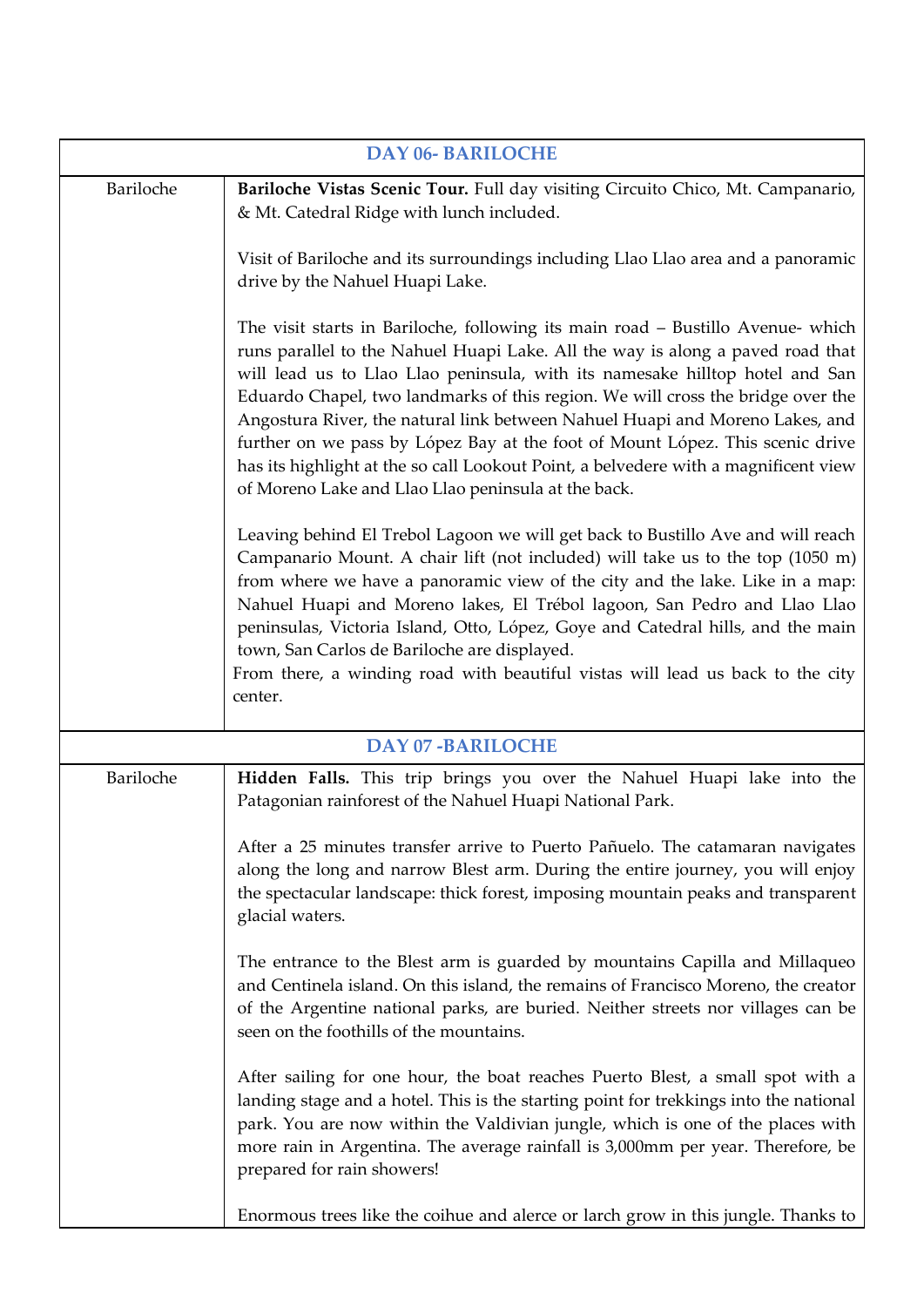| <b>DAY 06- BARILOCHE</b> |                                                                                                                                                                                                                                                                                                                                                                                                                                                                                                                                                                                                                                                     |  |
|--------------------------|-----------------------------------------------------------------------------------------------------------------------------------------------------------------------------------------------------------------------------------------------------------------------------------------------------------------------------------------------------------------------------------------------------------------------------------------------------------------------------------------------------------------------------------------------------------------------------------------------------------------------------------------------------|--|
| Bariloche                | Bariloche Vistas Scenic Tour. Full day visiting Circuito Chico, Mt. Campanario,<br>& Mt. Catedral Ridge with lunch included.                                                                                                                                                                                                                                                                                                                                                                                                                                                                                                                        |  |
|                          | Visit of Bariloche and its surroundings including Llao Llao area and a panoramic<br>drive by the Nahuel Huapi Lake.                                                                                                                                                                                                                                                                                                                                                                                                                                                                                                                                 |  |
|                          | The visit starts in Bariloche, following its main road – Bustillo Avenue- which<br>runs parallel to the Nahuel Huapi Lake. All the way is along a paved road that<br>will lead us to Llao Llao peninsula, with its namesake hilltop hotel and San<br>Eduardo Chapel, two landmarks of this region. We will cross the bridge over the<br>Angostura River, the natural link between Nahuel Huapi and Moreno Lakes, and<br>further on we pass by López Bay at the foot of Mount López. This scenic drive<br>has its highlight at the so call Lookout Point, a belvedere with a magnificent view<br>of Moreno Lake and Llao Llao peninsula at the back. |  |
|                          | Leaving behind El Trebol Lagoon we will get back to Bustillo Ave and will reach<br>Campanario Mount. A chair lift (not included) will take us to the top (1050 m)<br>from where we have a panoramic view of the city and the lake. Like in a map:<br>Nahuel Huapi and Moreno lakes, El Trébol lagoon, San Pedro and Llao Llao<br>peninsulas, Victoria Island, Otto, López, Goye and Catedral hills, and the main<br>town, San Carlos de Bariloche are displayed.<br>From there, a winding road with beautiful vistas will lead us back to the city<br>center.                                                                                       |  |
| <b>DAY 07-BARILOCHE</b>  |                                                                                                                                                                                                                                                                                                                                                                                                                                                                                                                                                                                                                                                     |  |
| Bariloche                | Hidden Falls. This trip brings you over the Nahuel Huapi lake into the<br>Patagonian rainforest of the Nahuel Huapi National Park.                                                                                                                                                                                                                                                                                                                                                                                                                                                                                                                  |  |
|                          | After a 25 minutes transfer arrive to Puerto Pañuelo. The catamaran navigates<br>along the long and narrow Blest arm. During the entire journey, you will enjoy<br>the spectacular landscape: thick forest, imposing mountain peaks and transparent<br>glacial waters.                                                                                                                                                                                                                                                                                                                                                                              |  |
|                          | The entrance to the Blest arm is guarded by mountains Capilla and Millaqueo<br>and Centinela island. On this island, the remains of Francisco Moreno, the creator<br>of the Argentine national parks, are buried. Neither streets nor villages can be<br>seen on the foothills of the mountains.                                                                                                                                                                                                                                                                                                                                                    |  |
|                          | After sailing for one hour, the boat reaches Puerto Blest, a small spot with a<br>landing stage and a hotel. This is the starting point for trekkings into the national<br>park. You are now within the Valdivian jungle, which is one of the places with<br>more rain in Argentina. The average rainfall is 3,000mm per year. Therefore, be<br>prepared for rain showers!                                                                                                                                                                                                                                                                          |  |
|                          | Enormous trees like the coihue and alerce or larch grow in this jungle. Thanks to                                                                                                                                                                                                                                                                                                                                                                                                                                                                                                                                                                   |  |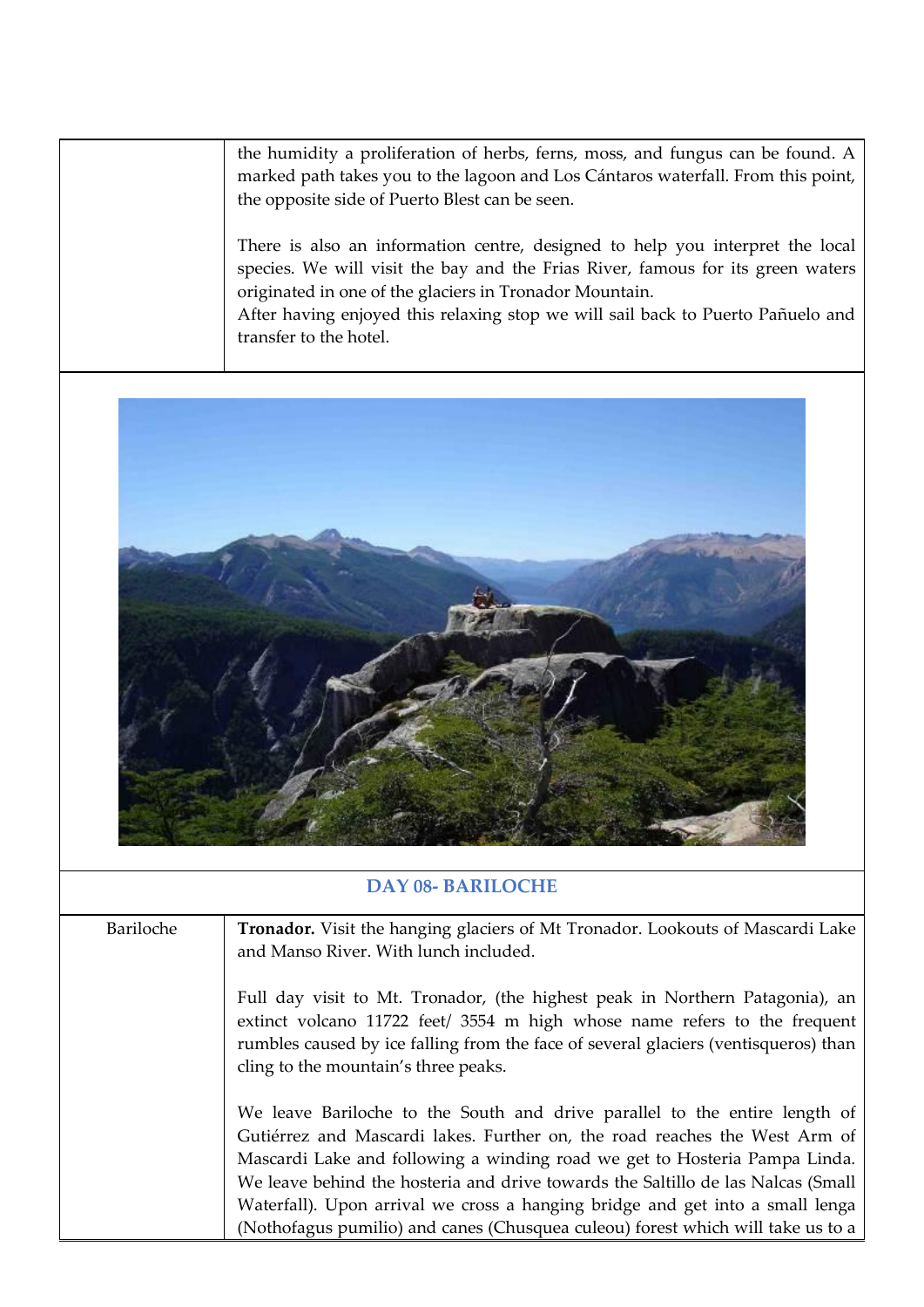the humidity a proliferation of herbs, ferns, moss, and fungus can be found. A marked path takes you to the lagoon and Los Cántaros waterfall. From this point, the opposite side of Puerto Blest can be seen.

There is also an information centre, designed to help you interpret the local species. We will visit the bay and the Frias River, famous for its green waters originated in one of the glaciers in Tronador Mountain.

After having enjoyed this relaxing stop we will sail back to Puerto Pañuelo and transfer to the hotel.



## **DAY 08- BARILOCHE**

Bariloche **Tronador.** Visit the hanging glaciers of Mt Tronador. Lookouts of Mascardi Lake and Manso River. With lunch included.

> Full day visit to Mt. Tronador, (the highest peak in Northern Patagonia), an extinct volcano 11722 feet/ 3554 m high whose name refers to the frequent rumbles caused by ice falling from the face of several glaciers (ventisqueros) than cling to the mountain's three peaks.

> We leave Bariloche to the South and drive parallel to the entire length of Gutiérrez and Mascardi lakes. Further on, the road reaches the West Arm of Mascardi Lake and following a winding road we get to Hosteria Pampa Linda. We leave behind the hosteria and drive towards the Saltillo de las Nalcas (Small Waterfall). Upon arrival we cross a hanging bridge and get into a small lenga (Nothofagus pumilio) and canes (Chusquea culeou) forest which will take us to a